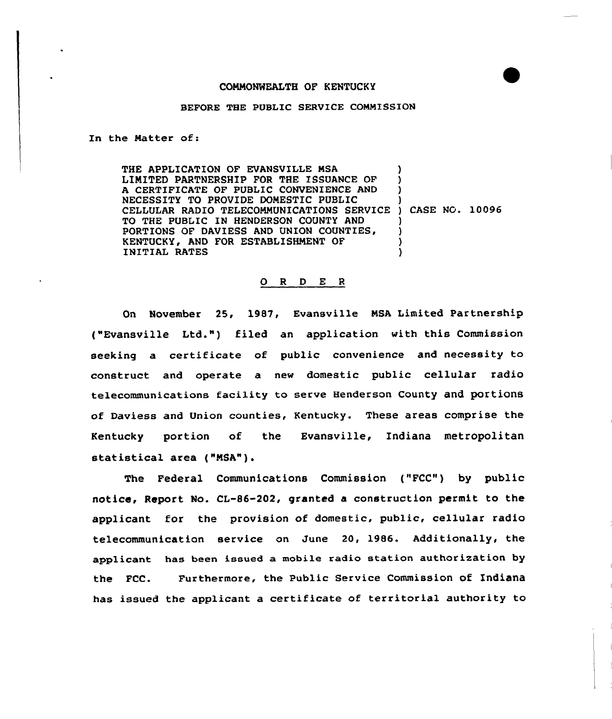## COMMONWEALTH OF KENTUCKY

## BEFORE THE PUBLIC SERVICE COMMISSION

In the Natter of:

THE APPLICATION OF EVANSVILLE NSA LIMITED PARTNERSHIP FOR THE ISSUANCE OF A CERTIFICATE OF PUBLIC CONVENIENCE AND NECESSITY TO PROVIDE DOMESTIC PUBLIC NECESSITY TO PROVIDE DOMESTIC PUBLIC (1998)<br>CELLULAR RADIO TELECOMMUNICATIONS SERVICE ) CASE NG. 10096 TO THE PUBLIC IN HENDERSON COUNTY AND PORTIONS OF DAVIESS AND UNION COUNTIES, KENTUCKY, AND FOR ESTABLISHMENT OF INITIAL RATES ) ) ) ) ) ) )

## 0 <sup>R</sup> <sup>D</sup> E <sup>R</sup>

On November 25, 1987, Evansville NSA Limited Partnership ("Evansville Ltd.") filed an application with this Commission seeking a certificate of public convenience and necessity to construct and operate a new domestic public cellular radio telecommunications facility to serve Henderson county and portions of Daviess and Union counties, Kentucky. These areas comprise the Kentucky portion of the Evansville, Indiana metropolitan statistical area ("MSA").

The Federal Communications Commission ("FCC") by public notice, Report No. CL-86-202, granted a construction permit to the applicant for the provision of domestic, public, cellular radio telecommunication service on June 20, 1986. Additionally, the applicant has been issued a mobile radio station authorization by the FCC. Furthermore, the Public Service Commission of Xndiana has issued the applicant a certificate of territorial authority to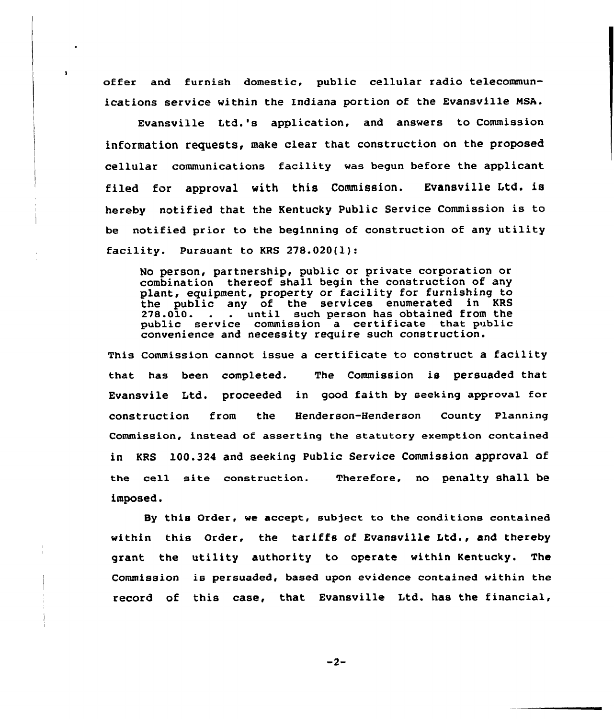offer and furnish domestic, public cellular radio telecommunications service within the indiana portion of the Evansville NSA.

Evansville Ltd.'s application, and answers to Commission information requests, make clear that construction on the proposed cellular communications facility was begun before the applicant filed for approval with this Commission. Evansville Ltd. is hereby notified that the Kentucky Public Service Commission is to be notified prior to the beginning of construction of any utility facility. Pursuant to KRS 278.020(l):

No person, partnership, public or private corporation or combination thereof shall begin the construction of any plant, equipment, property or facility for furnishing to the public any of the services enumerated in KRS<br>278.010. . . until such person has obtained from the . until such person has obtained from the public service commission a certificate that public convenience and necessity require such construction.

This Commission cannot issue a certificate to construct a facility that has been completed. The Commission is persuaded that Evansvile Ltd. proceeded in good faith by seeking approval for construction from the Henderson-Henderson County Planning Commission, instead of asserting the statutory exemption contained in KRS 100.324 and seeking Public Service Commission approval of the cell site construction. Therefore, no penalty shall be imposed.

By this Order, we accept, subject to the conditions contained within this Order, the tariffs of Evansville Ltd., and thereby grant the utility authority to operate within Kentucky. The Commission is persuaded, based upon evidence contained within the record of this case, that Evansville Ltd. has the financial,

 $-2-$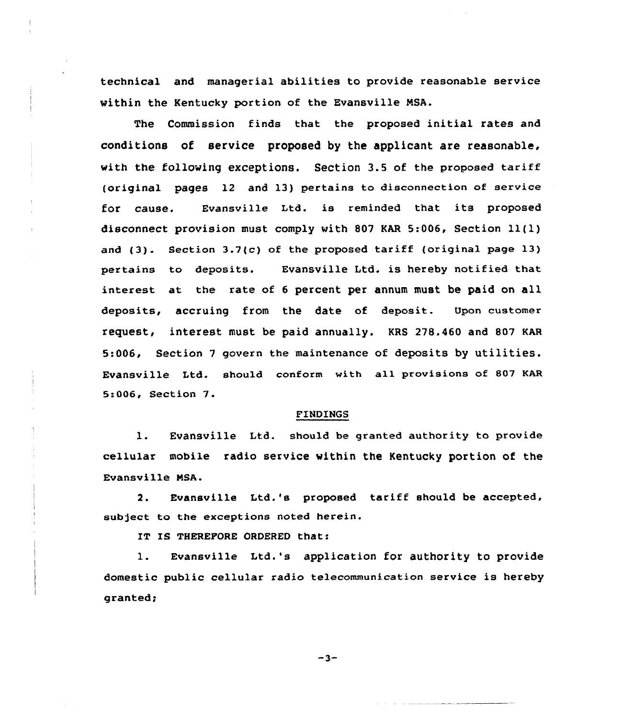technical and managerial abilities to provide reasonable service within the Kentucky portion of the Evansville NSA.

The Commission finds that the proposed initial rates and conditions of service proposed by the applicant are reasonable, with the following exceptions. Section 3.5 of the proposed tariff (original pages 12 and 13) pertains to disconnection of service for cause. Evansville Ltd. is reminded that its propased disconnect provision must comply with 807 KAR 5:006, Section  $11(1)$ and (3). Section 3.7(c) of the proposed tariff (original page 13) pertains to deposits. Evansville Ltd. is hereby notified that interest at the rate of <sup>6</sup> percent per annum must be paid on all deposits, accruing from the date of deposit. Upon customer request, interest must be paid annually. KRS 278.460 and 807 KAR 5s006, Section <sup>7</sup> govern the maintenance of deposits by utilities. Evansville Ltd. should conform with all provisions of 807 KAR 5s006, Section 7.

## FINDINGS

1. Evansville Ltd. should be granted authority to provide cellular mobile radio service within the Kentucky portion af the Evansville

Evansville Ltd.'s proposed tariff should be accepted,  $2.$ subject to the exceptions noted herein.

IT IS THEREFORE ORDERED that:

1. Evansville Ltd.'s application for authority to provide domestic public cellular radio telecommunication service is hereby granted;